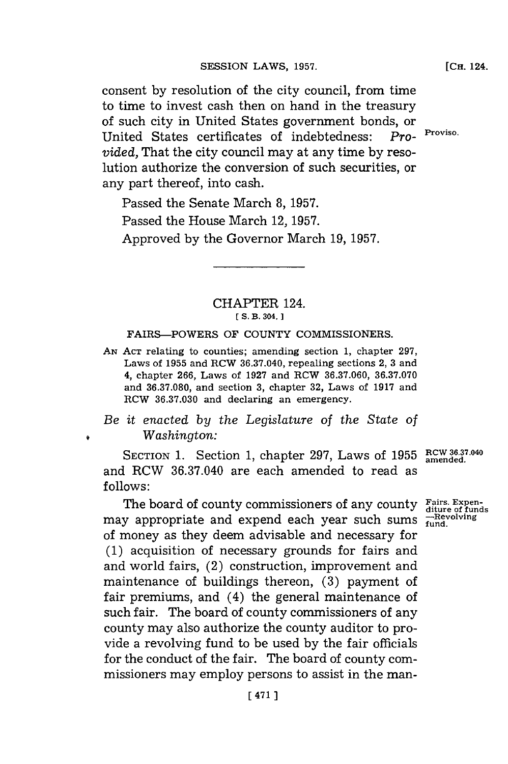consent **by** resolution of the city council, from time to time to invest cash then on hand in the treasury of such city in United States government bonds, or United States certificates of indebtedness: *Pro-* Proviso. *vided,* That the city council may at any time **by** resolution authorize the conversion of such securities, or any part thereof, into cash.

Passed the Senate March **8, 1957.**

Passed the House March 12, **1957.**

Approved **by** the Governor March **19, 1957.**

### CHAPTER 124. **E S. B. 304. 1**

#### FAIRS-POWERS OF **COUNTY** COMMISSIONERS.

*AN* **ACT** relating to counties; amending section **1,** chapter **297,** Laws of **1955** and RCW **36.37.040,** repealing sections 2, **3** and 4, chapter **266,** Laws of **1927** and RCW **36.37.060, 36.37.070** and **36.37.080,** and section **3,** chapter **32,** Laws of **1917** and RCW **36.37.030** and declaring an emergency.

## *Be it enacted by the Legislature of the State of Washington:*

SECTION **1.** Section **1,** chapter **297,** Laws of **1955 RCW36.37-040 amended.** and RCW **36.37.040** are each amended to read as **follows:**

The board of county commissioners of any county Fairs. Expenmay appropriate and expend each year such sums **-Revolving** of money as they deem advisable and necessary for **(1)** acquisition of necessary grounds for fairs and and world fairs, (2) construction, improvement and maintenance of buildings thereon, **(3)** payment of fair premiums, and (4) the general maintenance of such fair. The board of county commissioners of any county may also authorize the county auditor to provide a revolving fund to be used **by** the fair officials for the conduct of the fair. The board of county commissioners may employ persons to assist in the man-

**[CH.** 124.